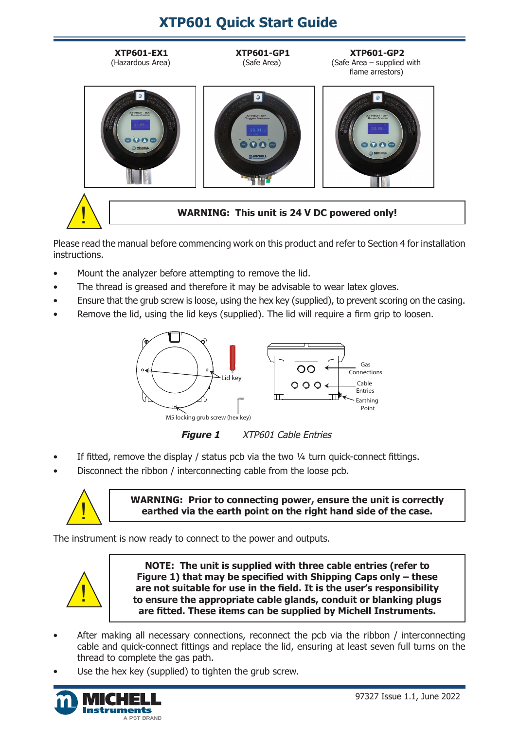# **XTP601 Quick Start Guide**



Please read the manual before commencing work on this product and refer to Section 4 for installation instructions.

- Mount the analyzer before attempting to remove the lid.
- The thread is greased and therefore it may be advisable to wear latex gloves.
- Ensure that the grub screw is loose, using the hex key (supplied), to prevent scoring on the casing.
- Remove the lid, using the lid keys (supplied). The lid will require a firm grip to loosen.



**Figure 1** XTP601 Cable Entries

- If fitted, remove the display / status pcb via the two  $\frac{1}{4}$  turn quick-connect fittings.
- Disconnect the ribbon / interconnecting cable from the loose pcb.



**WARNING:** Prior to connecting power, ensure the unit is correctly<br>earthed via the earth point on the right hand side of the case. **earthed via the earth point on the right hand side of the case.**

The instrument is now ready to connect to the power and outputs.



**NOTE: The unit is supplied with three cable entries (refer to Figure 1) that may be specified with Shipping Caps only – these are not suitable for use in the field. It is the user's responsibility to ensure the appropriate cable glands, conduit or blanking plugs are fitted. These items can be supplied by Michell Instruments.**

- After making all necessary connections, reconnect the pcb via the ribbon / interconnecting cable and quick-connect fittings and replace the lid, ensuring at least seven full turns on the thread to complete the gas path.
- Use the hex key (supplied) to tighten the grub screw.